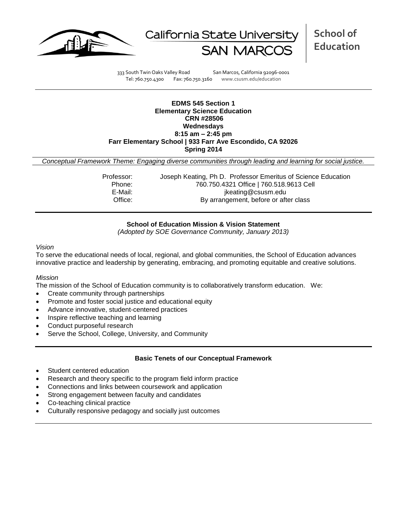



333 South Twin Oaks Valley Road San Marcos, California 92096-0001 Tel: 760.750.4300 Fax: 760.750.3160 www.csusm.edu/education

## **EDMS 545 Section 1 Elementary Science Education CRN #28506 Wednesdays 8:15 am – 2:45 pm Farr Elementary School | 933 Farr Ave Escondido, CA 92026 Spring 2014**

*Conceptual Framework Theme: Engaging diverse communities through leading and learning for social justice.*

Professor: Joseph Keating, Ph D. Professor Emeritus of Science Education Phone: 760.750.4321 Office | 760.518.9613 Cell E-Mail: in the same of the setting @csusm.edu Office: By arrangement, before or after class

## **School of Education Mission & Vision Statement**

*(Adopted by SOE Governance Community, January 2013)*

### *Vision*

To serve the educational needs of local, regional, and global communities, the School of Education advances innovative practice and leadership by generating, embracing, and promoting equitable and creative solutions.

## *Mission*

The mission of the School of Education community is to collaboratively transform education. We:

- Create community through partnerships
- Promote and foster social justice and educational equity
- Advance innovative, student-centered practices
- Inspire reflective teaching and learning
- Conduct purposeful research
- Serve the School, College, University, and Community

## **Basic Tenets of our Conceptual Framework**

- Student centered education
- Research and theory specific to the program field inform practice
- Connections and links between coursework and application
- Strong engagement between faculty and candidates
- Co-teaching clinical practice
- Culturally responsive pedagogy and socially just outcomes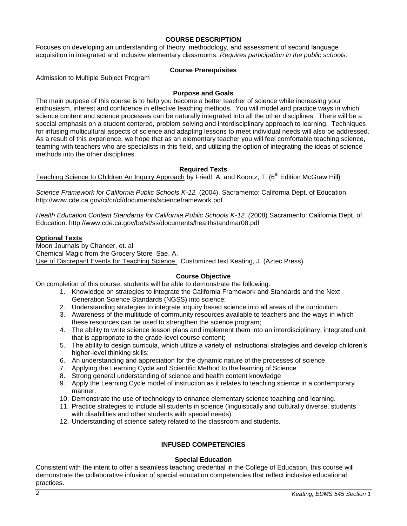## **COURSE DESCRIPTION**

Focuses on developing an understanding of theory, methodology, and assessment of second language acquisition in integrated and inclusive elementary classrooms. *Requires participation in the public schools.*

## **Course Prerequisites**

Admission to Multiple Subject Program

## **Purpose and Goals**

The main purpose of this course is to help you become a better teacher of science while increasing your enthusiasm, interest and confidence in effective teaching methods. You will model and practice ways in which science content and science processes can be naturally integrated into all the other disciplines. There will be a special emphasis on a student centered, problem solving and interdisciplinary approach to learning. Techniques for infusing multicultural aspects of science and adapting lessons to meet individual needs will also be addressed. As a result of this experience, we hope that as an elementary teacher you will feel comfortable teaching science, teaming with teachers who are specialists in this field, and utilizing the option of integrating the ideas of science methods into the other disciplines.

## **Required Texts**

Teaching Science to Children An Inquiry Approach by Friedl, A. and Koontz, T. (6<sup>th</sup> Edition McGraw Hill)

*Science Framework for California Public Schools K-12.* (2004). Sacramento: California Dept. of Education. http://www.cde.ca.gov/ci/cr/cf/documents/scienceframework.pdf

*Health Education Content Standards for California Public Schools K-12. (*2008).Sacramento: California Dept. of Education. http://www.cde.ca.gov/be/st/ss/documents/healthstandmar08.pdf

## **Optional Texts**

Moon Journals by Chancer, et. al Chemical Magic from the Grocery Store Sae, A. Use of Discrepant Events for Teaching Science Customized text Keating, J. (Aztec Press)

## **Course Objective**

On completion of this course, students will be able to demonstrate the following:

- 1. Knowledge on strategies to integrate the California Framework and Standards and the Next Generation Science Standards (NGSS) into science;
- 2. Understanding strategies to integrate inquiry based science into all areas of the curriculum;
- 3. Awareness of the multitude of community resources available to teachers and the ways in which these resources can be used to strengthen the science program;
- 4. The ability to write science lesson plans and implement them into an interdisciplinary, integrated unit that is appropriate to the grade-level course content;
- 5. The ability to design curricula, which utilize a variety of instructional strategies and develop children's higher-level thinking skills;
- 6. An understanding and appreciation for the dynamic nature of the processes of science
- 7. Applying the Learning Cycle and Scientific Method to the learning of Science
- 8. Strong general understanding of science and health content knowledge
- 9. Apply the Learning Cycle model of instruction as it relates to teaching science in a contemporary manner.
- 10. Demonstrate the use of technology to enhance elementary science teaching and learning.
- 11. Practice strategies to include all students in science (linguistically and culturally diverse, students with disabilities and other students with special needs)
- 12. Understanding of science safety related to the classroom and students.

## **INFUSED COMPETENCIES**

## **Special Education**

Consistent with the intent to offer a seamless teaching credential in the College of Education, this course will demonstrate the collaborative infusion of special education competencies that reflect inclusive educational practices.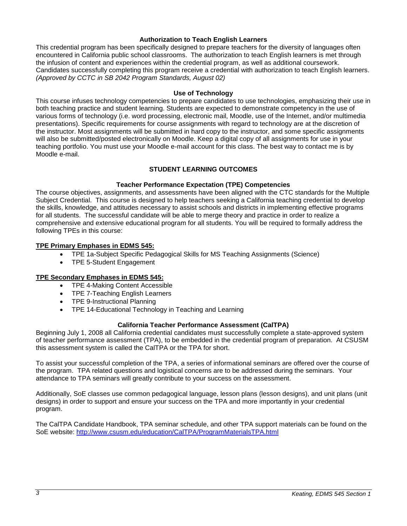## **Authorization to Teach English Learners**

This credential program has been specifically designed to prepare teachers for the diversity of languages often encountered in California public school classrooms. The authorization to teach English learners is met through the infusion of content and experiences within the credential program, as well as additional coursework. Candidates successfully completing this program receive a credential with authorization to teach English learners. *(Approved by CCTC in SB 2042 Program Standards, August 02)*

## **Use of Technology**

This course infuses technology competencies to prepare candidates to use technologies, emphasizing their use in both teaching practice and student learning. Students are expected to demonstrate competency in the use of various forms of technology (i.e. word processing, electronic mail, Moodle, use of the Internet, and/or multimedia presentations). Specific requirements for course assignments with regard to technology are at the discretion of the instructor. Most assignments will be submitted in hard copy to the instructor, and some specific assignments will also be submitted/posted electronically on Moodle. Keep a digital copy of all assignments for use in your teaching portfolio. You must use your Moodle e-mail account for this class. The best way to contact me is by Moodle e-mail.

# **STUDENT LEARNING OUTCOMES**

## **Teacher Performance Expectation (TPE) Competencies**

The course objectives, assignments, and assessments have been aligned with the CTC standards for the Multiple Subject Credential. This course is designed to help teachers seeking a California teaching credential to develop the skills, knowledge, and attitudes necessary to assist schools and districts in implementing effective programs for all students. The successful candidate will be able to merge theory and practice in order to realize a comprehensive and extensive educational program for all students. You will be required to formally address the following TPEs in this course:

## **TPE Primary Emphases in EDMS 545:**

- TPE 1a-Subject Specific Pedagogical Skills for MS Teaching Assignments (Science)
- TPE 5-Student Engagement

## **TPE Secondary Emphases in EDMS 545:**

- TPE 4-Making Content Accessible
- TPE 7-Teaching English Learners
- TPE 9-Instructional Planning
- TPE 14-Educational Technology in Teaching and Learning

## **California Teacher Performance Assessment (CalTPA)**

Beginning July 1, 2008 all California credential candidates must successfully complete a state-approved system of teacher performance assessment (TPA), to be embedded in the credential program of preparation. At CSUSM this assessment system is called the CalTPA or the TPA for short.

To assist your successful completion of the TPA, a series of informational seminars are offered over the course of the program. TPA related questions and logistical concerns are to be addressed during the seminars. Your attendance to TPA seminars will greatly contribute to your success on the assessment.

Additionally, SoE classes use common pedagogical language, lesson plans (lesson designs), and unit plans (unit designs) in order to support and ensure your success on the TPA and more importantly in your credential program.

The CalTPA Candidate Handbook, TPA seminar schedule, and other TPA support materials can be found on the SoE website: <http://www.csusm.edu/education/CalTPA/ProgramMaterialsTPA.html>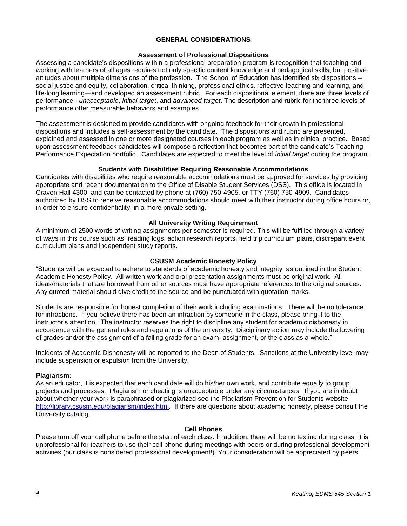## **GENERAL CONSIDERATIONS**

## **Assessment of Professional Dispositions**

Assessing a candidate's dispositions within a professional preparation program is recognition that teaching and working with learners of all ages requires not only specific content knowledge and pedagogical skills, but positive attitudes about multiple dimensions of the profession. The School of Education has identified six dispositions – social justice and equity, collaboration, critical thinking, professional ethics, reflective teaching and learning, and life-long learning—and developed an assessment rubric. For each dispositional element, there are three levels of performance - *unacceptable*, *initial target*, and *advanced target*. The description and rubric for the three levels of performance offer measurable behaviors and examples.

The assessment is designed to provide candidates with ongoing feedback for their growth in professional dispositions and includes a self-assessment by the candidate. The dispositions and rubric are presented, explained and assessed in one or more designated courses in each program as well as in clinical practice. Based upon assessment feedback candidates will compose a reflection that becomes part of the candidate's Teaching Performance Expectation portfolio. Candidates are expected to meet the level of *initial target* during the program.

## **Students with Disabilities Requiring Reasonable Accommodations**

Candidates with disabilities who require reasonable accommodations must be approved for services by providing appropriate and recent documentation to the Office of Disable Student Services (DSS). This office is located in Craven Hall 4300, and can be contacted by phone at (760) 750-4905, or TTY (760) 750-4909. Candidates authorized by DSS to receive reasonable accommodations should meet with their instructor during office hours or, in order to ensure confidentiality, in a more private setting.

## **All University Writing Requirement**

A minimum of 2500 words of writing assignments per semester is required. This will be fulfilled through a variety of ways in this course such as: reading logs, action research reports, field trip curriculum plans, discrepant event curriculum plans and independent study reports.

## **CSUSM Academic Honesty Policy**

"Students will be expected to adhere to standards of academic honesty and integrity, as outlined in the Student Academic Honesty Policy. All written work and oral presentation assignments must be original work. All ideas/materials that are borrowed from other sources must have appropriate references to the original sources. Any quoted material should give credit to the source and be punctuated with quotation marks.

Students are responsible for honest completion of their work including examinations. There will be no tolerance for infractions. If you believe there has been an infraction by someone in the class, please bring it to the instructor's attention. The instructor reserves the right to discipline any student for academic dishonesty in accordance with the general rules and regulations of the university. Disciplinary action may include the lowering of grades and/or the assignment of a failing grade for an exam, assignment, or the class as a whole."

Incidents of Academic Dishonesty will be reported to the Dean of Students. Sanctions at the University level may include suspension or expulsion from the University.

## **Plagiarism:**

As an educator, it is expected that each candidate will do his/her own work, and contribute equally to group projects and processes. Plagiarism or cheating is unacceptable under any circumstances. If you are in doubt about whether your work is paraphrased or plagiarized see the Plagiarism Prevention for Students website [http://library.csusm.edu/plagiarism/index.html.](http://library.csusm.edu/plagiarism/index.html) If there are questions about academic honesty, please consult the University catalog.

## **Cell Phones**

Please turn off your cell phone before the start of each class. In addition, there will be no texting during class. It is unprofessional for teachers to use their cell phone during meetings with peers or during professional development activities (our class is considered professional development!). Your consideration will be appreciated by peers.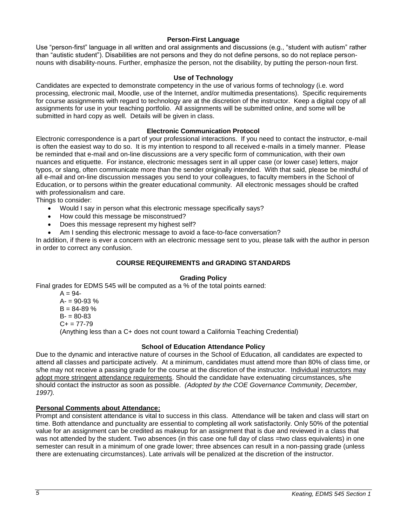## **Person-First Language**

Use "person-first" language in all written and oral assignments and discussions (e.g., "student with autism" rather than "autistic student"). Disabilities are not persons and they do not define persons, so do not replace personnouns with disability-nouns. Further, emphasize the person, not the disability, by putting the person-noun first.

## **Use of Technology**

Candidates are expected to demonstrate competency in the use of various forms of technology (i.e. word processing, electronic mail, Moodle, use of the Internet, and/or multimedia presentations). Specific requirements for course assignments with regard to technology are at the discretion of the instructor. Keep a digital copy of all assignments for use in your teaching portfolio. All assignments will be submitted online, and some will be submitted in hard copy as well. Details will be given in class.

## **Electronic Communication Protocol**

Electronic correspondence is a part of your professional interactions. If you need to contact the instructor, e-mail is often the easiest way to do so. It is my intention to respond to all received e-mails in a timely manner. Please be reminded that e-mail and on-line discussions are a very specific form of communication, with their own nuances and etiquette. For instance, electronic messages sent in all upper case (or lower case) letters, major typos, or slang, often communicate more than the sender originally intended. With that said, please be mindful of all e-mail and on-line discussion messages you send to your colleagues, to faculty members in the School of Education, or to persons within the greater educational community. All electronic messages should be crafted with professionalism and care.

Things to consider:

- Would I say in person what this electronic message specifically says?
- How could this message be misconstrued?
- Does this message represent my highest self?
- Am I sending this electronic message to avoid a face-to-face conversation?

In addition, if there is ever a concern with an electronic message sent to you, please talk with the author in person in order to correct any confusion.

# **COURSE REQUIREMENTS and GRADING STANDARDS**

## **Grading Policy**

Final grades for EDMS 545 will be computed as a % of the total points earned:

 $A = 94 A = 90 - 93 %$  $B = 84 - 89$  %  $B = 80 - 83$  $C_{+}$  = 77-79 (Anything less than a C+ does not count toward a California Teaching Credential)

## **School of Education Attendance Policy**

Due to the dynamic and interactive nature of courses in the School of Education, all candidates are expected to attend all classes and participate actively. At a minimum, candidates must attend more than 80% of class time, or s/he may not receive a passing grade for the course at the discretion of the instructor. Individual instructors may adopt more stringent attendance requirements. Should the candidate have extenuating circumstances, s/he should contact the instructor as soon as possible. *(Adopted by the COE Governance Community, December, 1997).*

## **Personal Comments about Attendance:**

Prompt and consistent attendance is vital to success in this class. Attendance will be taken and class will start on time. Both attendance and punctuality are essential to completing all work satisfactorily. Only 50% of the potential value for an assignment can be credited as makeup for an assignment that is due and reviewed in a class that was not attended by the student. Two absences (in this case one full day of class =two class equivalents) in one semester can result in a minimum of one grade lower; three absences can result in a non-passing grade (unless there are extenuating circumstances). Late arrivals will be penalized at the discretion of the instructor.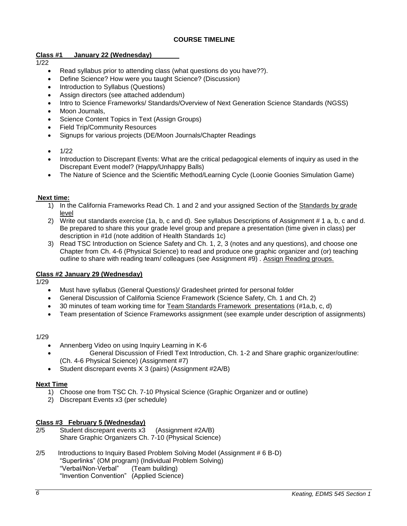# **COURSE TIMELINE**

# **Class #1 January 22 (Wednesday)**

# $1/22$

- Read syllabus prior to attending class (what questions do you have??).
- Define Science? How were you taught Science? (Discussion)
- Introduction to Syllabus (Questions)
- Assign directors (see attached addendum)
- Intro to Science Frameworks/ Standards/Overview of Next Generation Science Standards (NGSS)
- Moon Journals,
- Science Content Topics in Text (Assign Groups)
- Field Trip/Community Resources
- Signups for various projects (DE/Moon Journals/Chapter Readings
- $\bullet$  1/22
- Introduction to Discrepant Events: What are the critical pedagogical elements of inquiry as used in the Discrepant Event model? (Happy/Unhappy Balls)
- The Nature of Science and the Scientific Method/Learning Cycle (Loonie Goonies Simulation Game)

## **Next time:**

- 1) In the California Frameworks Read Ch. 1 and 2 and your assigned Section of the Standards by grade level
- 2) Write out standards exercise (1a, b, c and d). See syllabus Descriptions of Assignment # 1 a, b, c and d. Be prepared to share this your grade level group and prepare a presentation (time given in class) per description in #1d (note addition of Health Standards 1c)
- 3) Read TSC Introduction on Science Safety and Ch. 1, 2, 3 (notes and any questions), and choose one Chapter from Ch. 4-6 (Physical Science) to read and produce one graphic organizer and (or) teaching outline to share with reading team/ colleagues (see Assignment #9) . Assign Reading groups.

## **Class #2 January 29 (Wednesday)**

1/29

- Must have syllabus (General Questions)/ Gradesheet printed for personal folder
- General Discussion of California Science Framework (Science Safety, Ch. 1 and Ch. 2)
- 30 minutes of team working time for Team Standards Framework presentations (#1a,b, c, d)
- Team presentation of Science Frameworks assignment (see example under description of assignments)

## 1/29

- Annenberg Video on using Inquiry Learning in K-6
- General Discussion of Friedl Text Introduction, Ch. 1-2 and Share graphic organizer/outline: (Ch. 4-6 Physical Science) (Assignment #7)
- Student discrepant events X 3 (pairs) (Assignment #2A/B)

## **Next Time**

- 1) Choose one from TSC Ch. 7-10 Physical Science (Graphic Organizer and or outline)
- 2) Discrepant Events x3 (per schedule)

## **Class #3 February 5 (Wednesday)**

- 2/5 Student discrepant events x3 (Assignment #2A/B) Share Graphic Organizers Ch. 7-10 (Physical Science)
- 2/5 Introductions to Inquiry Based Problem Solving Model (Assignment # 6 B-D) "Superlinks" (OM program) (Individual Problem Solving) "Verbal/Non-Verbal" (Team building) "Invention Convention" (Applied Science)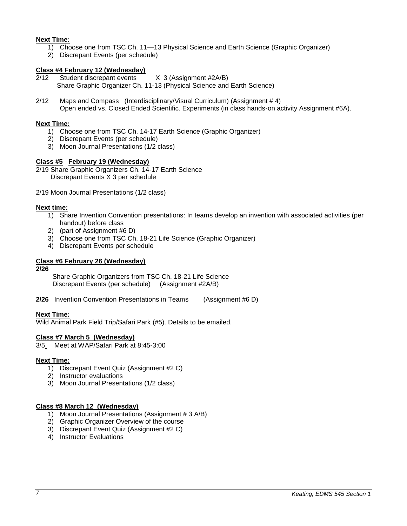## **Next Time:**

- 1) Choose one from TSC Ch. 11—13 Physical Science and Earth Science (Graphic Organizer)
- 2) Discrepant Events (per schedule)

## **Class #4 February 12 (Wednesday)**

2/12 Student discrepant events X 3 (Assignment #2A/B) Share Graphic Organizer Ch. 11-13 (Physical Science and Earth Science)

2/12 Maps and Compass (Interdisciplinary/Visual Curriculum) (Assignment # 4) Open ended vs. Closed Ended Scientific. Experiments (in class hands-on activity Assignment #6A).

## **Next Time:**

- 1) Choose one from TSC Ch. 14-17 Earth Science (Graphic Organizer)
- 2) Discrepant Events (per schedule)
- 3) Moon Journal Presentations (1/2 class)

## **Class #5 February 19 (Wednesday)**

2/19 Share Graphic Organizers Ch. 14-17 Earth Science Discrepant Events X 3 per schedule

2/19 Moon Journal Presentations (1/2 class)

## **Next time:**

- 1) Share Invention Convention presentations: In teams develop an invention with associated activities (per handout) before class
- 2) (part of Assignment #6 D)
- 3) Choose one from TSC Ch. 18-21 Life Science (Graphic Organizer)
- 4) Discrepant Events per schedule

## **Class #6 February 26 (Wednesday)**

#### **2/26**

Share Graphic Organizers from TSC Ch. 18-21 Life Science Discrepant Events (per schedule) (Assignment #2A/B)

**2/26** Invention Convention Presentations in Teams (Assignment #6 D)

## **Next Time:**

Wild Animal Park Field Trip/Safari Park (#5). Details to be emailed.

## **Class #7 March 5 (Wednesday)**

3/5 Meet at WAP/Safari Park at 8:45-3:00

## **Next Time:**

- 1) Discrepant Event Quiz (Assignment #2 C)
- 2) Instructor evaluations
- 3) Moon Journal Presentations (1/2 class)

## **Class #8 March 12 (Wednesday)**

- 1) Moon Journal Presentations (Assignment # 3 A/B)
- 2) Graphic Organizer Overview of the course
- 3) Discrepant Event Quiz (Assignment #2 C)
- 4) Instructor Evaluations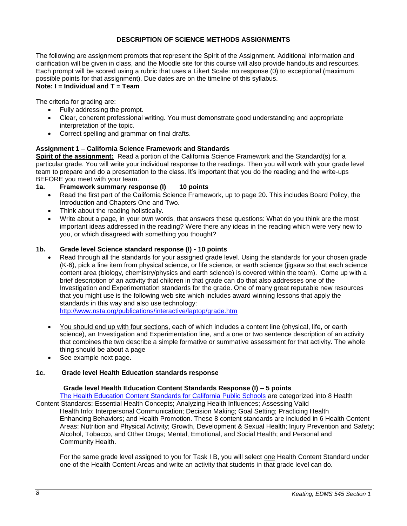## **DESCRIPTION OF SCIENCE METHODS ASSIGNMENTS**

The following are assignment prompts that represent the Spirit of the Assignment. Additional information and clarification will be given in class, and the Moodle site for this course will also provide handouts and resources. Each prompt will be scored using a rubric that uses a Likert Scale: no response (0) to exceptional (maximum possible points for that assignment). Due dates are on the timeline of this syllabus. **Note: I = Individual and T = Team**

# The criteria for grading are:

- Fully addressing the prompt.
- Clear, coherent professional writing. You must demonstrate good understanding and appropriate interpretation of the topic.
- Correct spelling and grammar on final drafts.

## **Assignment 1 – California Science Framework and Standards**

**Spirit of the assignment:** Read a portion of the California Science Framework and the Standard(s) for a particular grade. You will write your individual response to the readings. Then you will work with your grade level team to prepare and do a presentation to the class. It's important that you do the reading and the write-ups BEFORE you meet with your team.

- **1a. Framework summary response (I) 10 points**
	- Read the first part of the California Science Framework, up to page 20. This includes Board Policy, the Introduction and Chapters One and Two.
	- Think about the reading holistically.
	- Write about a page, in your own words, that answers these questions: What do you think are the most important ideas addressed in the reading? Were there any ideas in the reading which were very new to you, or which disagreed with something you thought?

## **1b. Grade level Science standard response (I) - 10 points**

- Read through all the standards for your assigned grade level. Using the standards for your chosen grade (K-6), pick a line item from physical science, or life science, or earth science (jigsaw so that each science content area (biology, chemistry/physics and earth science) is covered within the team). Come up with a brief description of an activity that children in that grade can do that also addresses one of the Investigation and Experimentation standards for the grade. One of many great reputable new resources that you might use is the following web site which includes award winning lessons that apply the standards in this way and also use technology: <http://www.nsta.org/publications/interactive/laptop/grade.htm>
- You should end up with four sections, each of which includes a content line (physical, life, or earth science), an Investigation and Experimentation line, and a one or two sentence description of an activity that combines the two describe a simple formative or summative assessment for that activity. The whole thing should be about a page
- See example next page.

## **1c. Grade level Health Education standards response**

## **Grade level Health Education Content Standards Response (I) – 5 points**

[The Health Education Content Standards for California Public Schools](http://www.cde.ca.gov/be/st/ss/documents/healthstandmar08.pdf) are categorized into 8 Health Content Standards: Essential Health Concepts; Analyzing Health Influences; Assessing Valid

Health Info; Interpersonal Communication; Decision Making; Goal Setting; Practicing Health Enhancing Behaviors; and Health Promotion. These 8 content standards are included in 6 Health Content Areas: Nutrition and Physical Activity; Growth, Development & Sexual Health; Injury Prevention and Safety; Alcohol, Tobacco, and Other Drugs; Mental, Emotional, and Social Health; and Personal and Community Health.

For the same grade level assigned to you for Task I B, you will select one Health Content Standard under one of the Health Content Areas and write an activity that students in that grade level can do.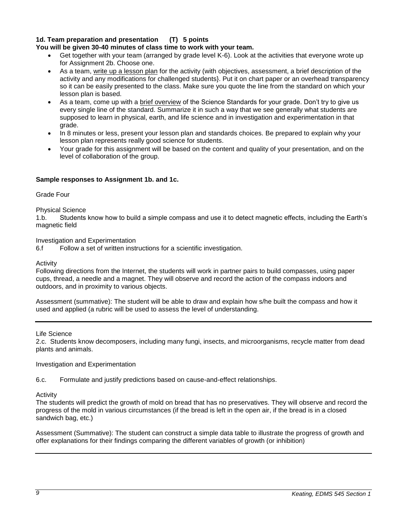# **1d. Team preparation and presentation (T) 5 points**

## **You will be given 30-40 minutes of class time to work with your team.**

- Get together with your team (arranged by grade level K-6). Look at the activities that everyone wrote up for Assignment 2b. Choose one.
- As a team, write up a lesson plan for the activity (with objectives, assessment, a brief description of the activity and any modifications for challenged students}. Put it on chart paper or an overhead transparency so it can be easily presented to the class. Make sure you quote the line from the standard on which your lesson plan is based.
- As a team, come up with a **brief overview** of the Science Standards for your grade. Don't try to give us every single line of the standard. Summarize it in such a way that we see generally what students are supposed to learn in physical, earth, and life science and in investigation and experimentation in that grade.
- In 8 minutes or less, present your lesson plan and standards choices. Be prepared to explain why your lesson plan represents really good science for students.
- Your grade for this assignment will be based on the content and quality of your presentation, and on the level of collaboration of the group.

## **Sample responses to Assignment 1b. and 1c.**

## Grade Four

## Physical Science

1.b. Students know how to build a simple compass and use it to detect magnetic effects, including the Earth's magnetic field

Investigation and Experimentation

6.f Follow a set of written instructions for a scientific investigation.

Activity

Following directions from the Internet, the students will work in partner pairs to build compasses, using paper cups, thread, a needle and a magnet. They will observe and record the action of the compass indoors and outdoors, and in proximity to various objects.

Assessment (summative): The student will be able to draw and explain how s/he built the compass and how it used and applied (a rubric will be used to assess the level of understanding.

#### Life Science

2.c. Students know decomposers, including many fungi, insects, and microorganisms, recycle matter from dead plants and animals.

## Investigation and Experimentation

6.c. Formulate and justify predictions based on cause-and-effect relationships.

#### Activity

The students will predict the growth of mold on bread that has no preservatives. They will observe and record the progress of the mold in various circumstances (if the bread is left in the open air, if the bread is in a closed sandwich bag, etc.)

Assessment (Summative): The student can construct a simple data table to illustrate the progress of growth and offer explanations for their findings comparing the different variables of growth (or inhibition)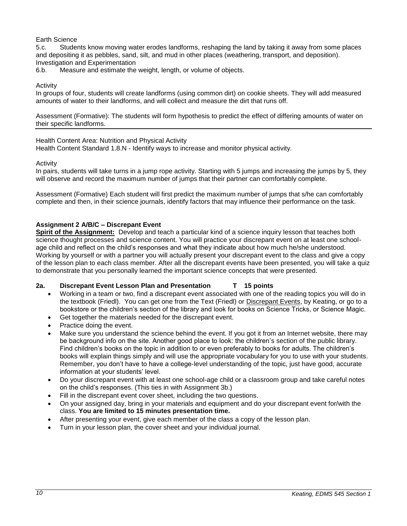## Earth Science

5.c. Students know moving water erodes landforms, reshaping the land by taking it away from some places and depositing it as pebbles, sand, silt, and mud in other places (weathering, transport, and deposition). Investigation and Experimentation

6.b. Measure and estimate the weight, length, or volume of objects.

## Activity

In groups of four, students will create landforms (using common dirt) on cookie sheets. They will add measured amounts of water to their landforms, and will collect and measure the dirt that runs off.

Assessment (Formative): The students will form hypothesis to predict the effect of differing amounts of water on their specific landforms.

## Health Content Area: Nutrition and Physical Activity

Health Content Standard 1.8.N - Identify ways to increase and monitor physical activity*.*

## Activity

In pairs, students will take turns in a jump rope activity. Starting with 5 jumps and increasing the jumps by 5, they will observe and record the maximum number of jumps that their partner can comfortably complete.

Assessment (Formative) Each student will first predict the maximum number of jumps that s/he can comfortably complete and then, in their science journals, identify factors that may influence their performance on the task.

## **Assignment 2 A/B/C – Discrepant Event**

**Spirit of the Assignment:** Develop and teach a particular kind of a science inquiry lesson that teaches both science thought processes and science content. You will practice your discrepant event on at least one schoolage child and reflect on the child's responses and what they indicate about how much he/she understood. Working by yourself or with a partner you will actually present your discrepant event to the class and give a copy of the lesson plan to each class member. After all the discrepant events have been presented, you will take a quiz to demonstrate that you personally learned the important science concepts that were presented.

## **2a. Discrepant Event Lesson Plan and Presentation T 15 points**

- Working in a team or two, find a discrepant event associated with one of the reading topics you will do in the textbook (Friedl). You can get one from the Text (Friedl) or Discrepant Events, by Keating, or go to a bookstore or the children's section of the library and look for books on Science Tricks, or Science Magic.
- Get together the materials needed for the discrepant event.
- Practice doing the event.
- Make sure you understand the science behind the event. If you got it from an Internet website, there may be background info on the site. Another good place to look: the children's section of the public library. Find children's books on the topic in addition to or even preferably to books for adults. The children's books will explain things simply and will use the appropriate vocabulary for you to use with your students. Remember, you don't have to have a college-level understanding of the topic, just have good, accurate information at your students' level.
- Do your discrepant event with at least one school-age child or a classroom group and take careful notes on the child's responses. (This ties in with Assignment 3b.)
- Fill in the discrepant event cover sheet, including the two questions.
- On your assigned day, bring in your materials and equipment and do your discrepant event for/with the class. **You are limited to 15 minutes presentation time.**
- After presenting your event, give each member of the class a copy of the lesson plan.
- Turn in your lesson plan, the cover sheet and your individual journal.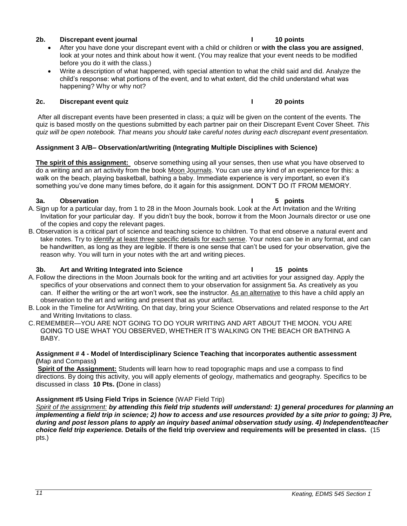## **2b. Discrepant event journal I 10 points**

- After you have done your discrepant event with a child or children or **with the class you are assigned**, look at your notes and think about how it went. (You may realize that your event needs to be modified before you do it with the class.)
- Write a description of what happened, with special attention to what the child said and did. Analyze the child's response: what portions of the event, and to what extent, did the child understand what was happening? Why or why not?

## **2c. Discrepant event quiz I 20 points**

After all discrepant events have been presented in class; a quiz will be given on the content of the events. The quiz is based mostly on the questions submitted by each partner pair on their Discrepant Event Cover Sheet. *This quiz will be open notebook. That means you should take careful notes during each discrepant event presentation.*

## **Assignment 3 A/B– Observation/art/writing (Integrating Multiple Disciplines with Science)**

**The spirit of this assignment:** observe something using all your senses, then use what you have observed to do a writing and an art activity from the book Moon Journals. You can use any kind of an experience for this: a walk on the beach, playing basketball, bathing a baby. Immediate experience is very important, so even it's something you've done many times before, do it again for this assignment. DON'T DO IT FROM MEMORY.

## **3a. Observation I 5 points**

- A. Sign up for a particular day, from 1 to 28 in the Moon Journals book. Look at the Art Invitation and the Writing Invitation for your particular day. If you didn't buy the book, borrow it from the Moon Journals director or use one of the copies and copy the relevant pages.
- B. Observation is a critical part of science and teaching science to children. To that end observe a natural event and take notes. Try to identify at least three specific details for each sense. Your notes can be in any format, and can be handwritten, as long as they are legible. If there is one sense that can't be used for your observation, give the reason why. You will turn in your notes with the art and writing pieces.

## **3b. Art and Writing Integrated into Science I 15 points**

- A. Follow the directions in the Moon Journals book for the writing and art activities for your assigned day. Apply the specifics of your observations and connect them to your observation for assignment 5a. As creatively as you can. If either the writing or the art won't work, see the instructor. As an alternative to this have a child apply an observation to the art and writing and present that as your artifact.
- B. Look in the Timeline for Art/Writing. On that day, bring your Science Observations and related response to the Art and Writing Invitations to class.
- C.REMEMBER—YOU ARE NOT GOING TO DO YOUR WRITING AND ART ABOUT THE MOON. YOU ARE GOING TO USE WHAT YOU OBSERVED, WHETHER IT'S WALKING ON THE BEACH OR BATHING A BABY.

## **Assignment # 4 - Model of Interdisciplinary Science Teaching that incorporates authentic assessment (**Map and Compass**)**

**Spirit of the Assignment:** Students will learn how to read topographic maps and use a compass to find directions. By doing this activity, you will apply elements of geology, mathematics and geography. Specifics to be discussed in class **10 Pts. (**Done in class)

# **Assignment #5 Using Field Trips in Science** (WAP Field Trip)

*Spirit of the assignment: by attending this field trip students will understand: 1) general procedures for planning an implementing a field trip in science; 2) how to access and use resources provided by a site prior to going; 3) Pre, during and post lesson plans to apply an inquiry based animal observation study using. 4) Independent/teacher choice field trip experience.* **Details of the field trip overview and requirements will be presented in class.** (15 pts.)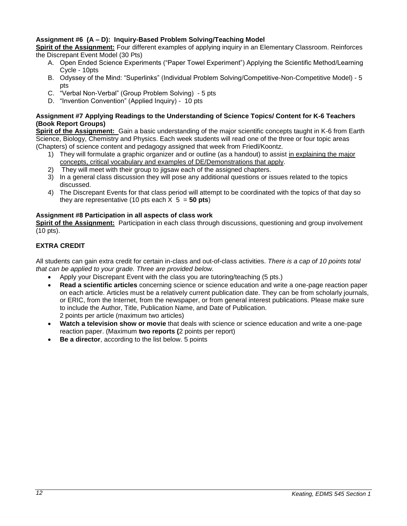# **Assignment #6 (A – D): Inquiry-Based Problem Solving/Teaching Model**

**Spirit of the Assignment:** Four different examples of applying inquiry in an Elementary Classroom. Reinforces the Discrepant Event Model (30 Pts)

- A. Open Ended Science Experiments ("Paper Towel Experiment") Applying the Scientific Method/Learning Cycle - 10pts
- B. Odyssey of the Mind: "Superlinks" (Individual Problem Solving/Competitive-Non-Competitive Model) 5 pts
- C. "Verbal Non-Verbal" (Group Problem Solving) 5 pts
- D. "Invention Convention" (Applied Inquiry) 10 pts

# **Assignment #7 Applying Readings to the Understanding of Science Topics/ Content for K-6 Teachers (Book Report Groups)**

**Spirit of the Assignment:** Gain a basic understanding of the major scientific concepts taught in K-6 from Earth Science, Biology, Chemistry and Physics. Each week students will read one of the three or four topic areas (Chapters) of science content and pedagogy assigned that week from Friedl/Koontz.

- 1) They will formulate a graphic organizer and or outline (as a handout) to assist in explaining the major concepts, critical vocabulary and examples of DE/Demonstrations that apply.
- 2) They will meet with their group to jigsaw each of the assigned chapters.
- 3) In a general class discussion they will pose any additional questions or issues related to the topics discussed.
- 4) The Discrepant Events for that class period will attempt to be coordinated with the topics of that day so they are representative (10 pts each  $X$  5 = **50 pts**)

## **Assignment #8 Participation in all aspects of class work**

**Spirit of the Assignment:** Participation in each class through discussions, questioning and group involvement (10 pts).

# **EXTRA CREDIT**

All students can gain extra credit for certain in-class and out-of-class activities. *There is a cap of 10 points total that can be applied to your grade. Three are provided below.*

- Apply your Discrepant Event with the class you are tutoring/teaching (5 pts.)
- **Read a scientific articles** concerning science or science education and write a one-page reaction paper on each article. Articles must be a relatively current publication date. They can be from scholarly journals, or ERIC, from the Internet, from the newspaper, or from general interest publications. Please make sure to include the Author, Title, Publication Name, and Date of Publication. 2 points per article (maximum two articles)
- **Watch a television show or movie** that deals with science or science education and write a one-page reaction paper. (Maximum **two reports (**2 points per report)
- **Be a director**, according to the list below. 5 points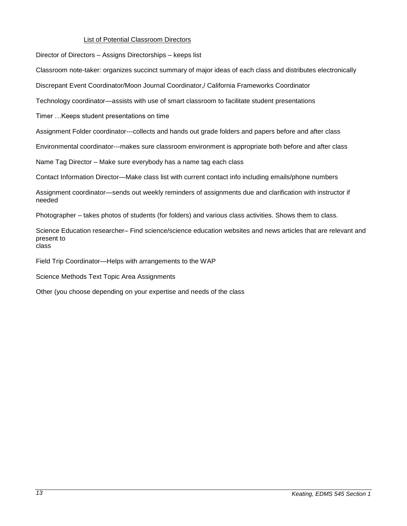## List of Potential Classroom Directors

Director of Directors – Assigns Directorships – keeps list

Classroom note-taker: organizes succinct summary of major ideas of each class and distributes electronically

Discrepant Event Coordinator/Moon Journal Coordinator,/ California Frameworks Coordinator

Technology coordinator—assists with use of smart classroom to facilitate student presentations

Timer …Keeps student presentations on time

Assignment Folder coordinator---collects and hands out grade folders and papers before and after class

Environmental coordinator---makes sure classroom environment is appropriate both before and after class

Name Tag Director – Make sure everybody has a name tag each class

Contact Information Director—Make class list with current contact info including emails/phone numbers

Assignment coordinator—sends out weekly reminders of assignments due and clarification with instructor if needed

Photographer – takes photos of students (for folders) and various class activities. Shows them to class.

Science Education researcher– Find science/science education websites and news articles that are relevant and present to class

Field Trip Coordinator—Helps with arrangements to the WAP

Science Methods Text Topic Area Assignments

Other (you choose depending on your expertise and needs of the class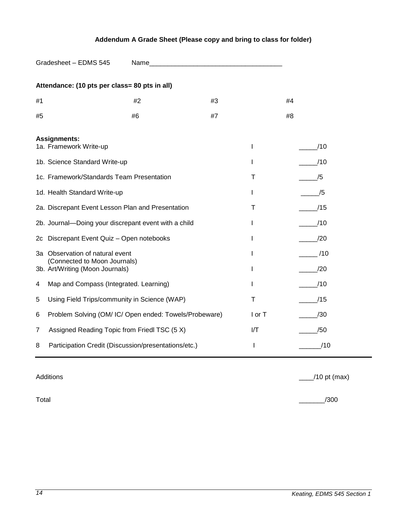# **Addendum A Grade Sheet (Please copy and bring to class for folder)**

| Gradesheet - EDMS 545                                           |                                              |                                                        | Name and the contract of the contract of the contract of the contract of the contract of the contract of the contract of the contract of the contract of the contract of the contract of the contract of the contract of the c |        |     |
|-----------------------------------------------------------------|----------------------------------------------|--------------------------------------------------------|--------------------------------------------------------------------------------------------------------------------------------------------------------------------------------------------------------------------------------|--------|-----|
|                                                                 |                                              | Attendance: (10 pts per class= 80 pts in all)          |                                                                                                                                                                                                                                |        |     |
| #1                                                              |                                              | #2                                                     | #3                                                                                                                                                                                                                             |        | #4  |
| #5                                                              |                                              | #6                                                     | #7                                                                                                                                                                                                                             |        | #8  |
| <b>Assignments:</b><br>1a. Framework Write-up                   |                                              |                                                        |                                                                                                                                                                                                                                | I      | /10 |
| 1b. Science Standard Write-up                                   |                                              |                                                        |                                                                                                                                                                                                                                | I      | /10 |
| 1c. Framework/Standards Team Presentation                       |                                              |                                                        |                                                                                                                                                                                                                                | Т      | /5  |
| 1d. Health Standard Write-up                                    |                                              |                                                        |                                                                                                                                                                                                                                | I      | /5  |
| 2a. Discrepant Event Lesson Plan and Presentation               |                                              |                                                        | Т                                                                                                                                                                                                                              | /15    |     |
| 2b. Journal-Doing your discrepant event with a child            |                                              |                                                        |                                                                                                                                                                                                                                | I      | /10 |
| 2c Discrepant Event Quiz - Open notebooks                       |                                              |                                                        | ı                                                                                                                                                                                                                              | /20    |     |
|                                                                 | 3a Observation of natural event              |                                                        |                                                                                                                                                                                                                                | I      | /10 |
| (Connected to Moon Journals)<br>3b. Art/Writing (Moon Journals) |                                              |                                                        |                                                                                                                                                                                                                                | ı      | /20 |
| 4                                                               | Map and Compass (Integrated. Learning)       |                                                        |                                                                                                                                                                                                                                | I      | /10 |
| 5                                                               | Using Field Trips/community in Science (WAP) |                                                        |                                                                                                                                                                                                                                | T      | /15 |
| 6                                                               |                                              | Problem Solving (OM/ IC/ Open ended: Towels/Probeware) |                                                                                                                                                                                                                                | I or T | /30 |
| 7                                                               | Assigned Reading Topic from Friedl TSC (5 X) |                                                        |                                                                                                                                                                                                                                | I/T    | /50 |
| 8                                                               |                                              | Participation Credit (Discussion/presentations/etc.)   |                                                                                                                                                                                                                                | I      | /10 |

Additions \_\_\_\_/10 pt (max)

Total \_\_\_\_\_\_\_/300